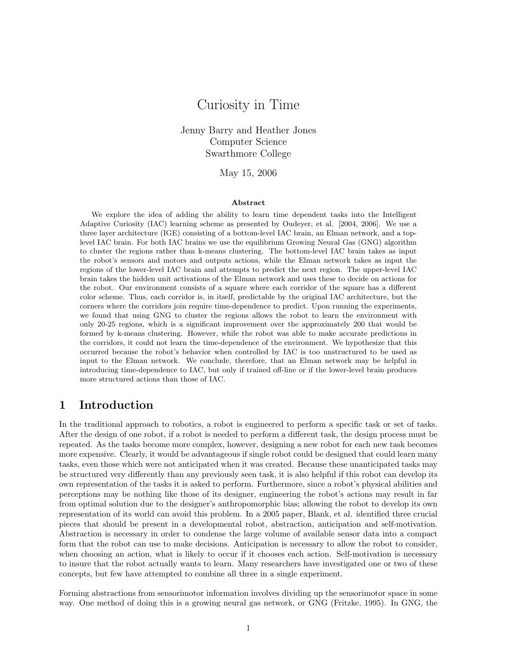# Curiosity in Time

Jenny Barry and Heather Jones Computer Science Swarthmore College

#### May 15, 2006

#### Abstract

We explore the idea of adding the ability to learn time dependent tasks into the Intelligent Adaptive Curiosity (IAC) learning scheme as presented by Oudeyer, et al. [2004, 2006]. We use a three layer architecture (IGE) consisting of a bottom-level IAC brain, an Elman network, and a toplevel IAC brain. For both IAC brains we use the equilibrium Growing Neural Gas (GNG) algorithm to cluster the regions rather than k-means clustering. The bottom-level IAC brain takes as input the robot's sensors and motors and outputs actions, while the Elman network takes as input the regions of the lower-level IAC brain and attempts to predict the next region. The upper-level IAC brain takes the hidden unit activations of the Elman network and uses these to decide on actions for the robot. Our environment consists of a square where each corridor of the square has a different color scheme. Thus, each corridor is, in itself, predictable by the original IAC architecture, but the corners where the corridors join require time-dependence to predict. Upon running the experiments, we found that using GNG to cluster the regions allows the robot to learn the environment with only 20-25 regions, which is a significant improvement over the approximately 200 that would be formed by k-means clustering. However, while the robot was able to make accurate predictions in the corridors, it could not learn the time-dependence of the environment. We hypothesize that this occurred because the robot's behavior when controlled by IAC is too unstructured to be used as input to the Elman network. We conclude, therefore, that an Elman network may be helpful in introducing time-dependence to IAC, but only if trained off-line or if the lower-level brain produces more structured actions than those of IAC.

## 1 Introduction

In the traditional approach to robotics, a robot is engineered to perform a specific task or set of tasks. After the design of one robot, if a robot is needed to perform a different task, the design process must be repeated. As the tasks become more complex, however, designing a new robot for each new task becomes more expensive. Clearly, it would be advantageous if single robot could be designed that could learn many tasks, even those which were not anticipated when it was created. Because these unanticipated tasks may be structured very differently than any previously seen task, it is also helpful if this robot can develop its own representation of the tasks it is asked to perform. Furthermore, since a robot's physical abilities and perceptions may be nothing like those of its designer, engineering the robot's actions may result in far from optimal solution due to the designer's anthropomorphic bias; allowing the robot to develop its own representation of its world can avoid this problem. In a 2005 paper, Blank, et al. identified three crucial pieces that should be present in a developmental robot, abstraction, anticipation and self-motivation. Abstraction is necessary in order to condense the large volume of available sensor data into a compact form that the robot can use to make decisions. Anticipation is necessary to allow the robot to consider, when choosing an action, what is likely to occur if it chooses each action. Self-motivation is necessary to insure that the robot actually wants to learn. Many researchers have investigated one or two of these concepts, but few have attempted to combine all three in a single experiment.

Forming abstractions from sensorimotor information involves dividing up the sensorimotor space in some way. One method of doing this is a growing neural gas network, or GNG (Fritzke, 1995). In GNG, the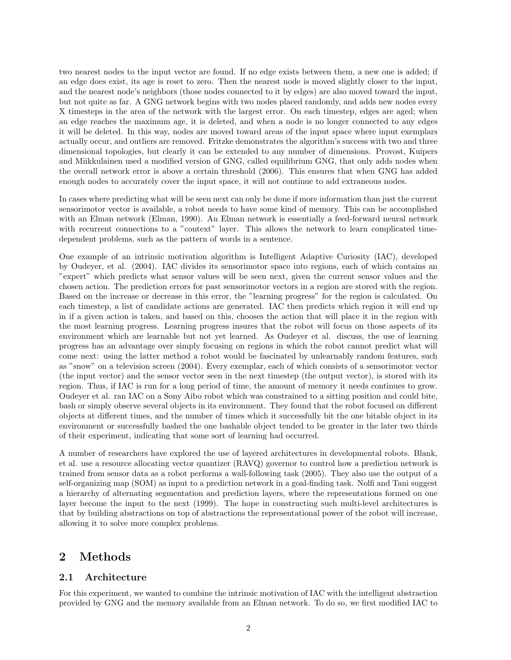two nearest nodes to the input vector are found. If no edge exists between them, a new one is added; if an edge does exist, its age is reset to zero. Then the nearest node is moved slightly closer to the input, and the nearest node's neighbors (those nodes connected to it by edges) are also moved toward the input, but not quite as far. A GNG network begins with two nodes placed randomly, and adds new nodes every X timesteps in the area of the network with the largest error. On each timestep, edges are aged; when an edge reaches the maximum age, it is deleted, and when a node is no longer connected to any edges it will be deleted. In this way, nodes are moved toward areas of the input space where input exemplars actually occur, and outliers are removed. Fritzke demonstrates the algorithm's success with two and three dimensional topologies, but clearly it can be extended to any number of dimensions. Provost, Kuipers and Miikkulainen used a modified version of GNG, called equilibrium GNG, that only adds nodes when the overall network error is above a certain threshold (2006). This ensures that when GNG has added enough nodes to accurately cover the input space, it will not continue to add extraneous nodes.

In cases where predicting what will be seen next can only be done if more information than just the current sensorimotor vector is available, a robot needs to have some kind of memory. This can be accomplished with an Elman network (Elman, 1990). An Elman network is essentially a feed-forward neural network with recurrent connections to a "context" layer. This allows the network to learn complicated timedependent problems, such as the pattern of words in a sentence.

One example of an intrinsic motivation algorithm is Intelligent Adaptive Curiosity (IAC), developed by Oudeyer, et al. (2004). IAC divides its sensorimotor space into regions, each of which contains an "expert" which predicts what sensor values will be seen next, given the current sensor values and the chosen action. The prediction errors for past sensorimotor vectors in a region are stored with the region. Based on the increase or decrease in this error, the "learning progress" for the region is calculated. On each timestep, a list of candidate actions are generated. IAC then predicts which region it will end up in if a given action is taken, and based on this, chooses the action that will place it in the region with the most learning progress. Learning progress insures that the robot will focus on those aspects of its environment which are learnable but not yet learned. As Oudeyer et al. discuss, the use of learning progress has an advantage over simply focusing on regions in which the robot cannot predict what will come next: using the latter method a robot would be fascinated by unlearnably random features, such as "snow" on a television screen (2004). Every exemplar, each of which consists of a sensorimotor vector (the input vector) and the sensor vector seen in the next timestep (the output vector), is stored with its region. Thus, if IAC is run for a long period of time, the amount of memory it needs continues to grow. Oudeyer et al. ran IAC on a Sony Aibo robot which was constrained to a sitting position and could bite, bash or simply observe several objects in its environment. They found that the robot focused on different objects at different times, and the number of times which it successfully bit the one bitable object in its environment or successfully bashed the one bashable object tended to be greater in the later two thirds of their experiment, indicating that some sort of learning had occurred.

A number of researchers have explored the use of layered architectures in developmental robots. Blank, et al. use a resource allocating vector quantizer (RAVQ) governor to control how a prediction network is trained from sensor data as a robot performs a wall-following task (2005). They also use the output of a self-organizing map (SOM) as input to a prediction network in a goal-finding task. Nolfi and Tani suggest a hierarchy of alternating segmentation and prediction layers, where the representations formed on one layer become the input to the next (1999). The hope in constructing such multi-level architectures is that by building abstractions on top of abstractions the representational power of the robot will increase, allowing it to solve more complex problems.

## 2 Methods

#### 2.1 Architecture

For this experiment, we wanted to combine the intrinsic motivation of IAC with the intelligent abstraction provided by GNG and the memory available from an Elman network. To do so, we first modified IAC to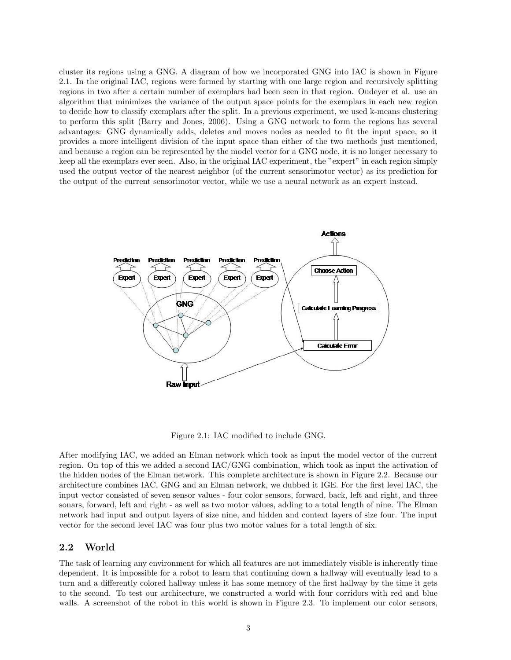cluster its regions using a GNG. A diagram of how we incorporated GNG into IAC is shown in Figure 2.1. In the original IAC, regions were formed by starting with one large region and recursively splitting regions in two after a certain number of exemplars had been seen in that region. Oudeyer et al. use an algorithm that minimizes the variance of the output space points for the exemplars in each new region to decide how to classify exemplars after the split. In a previous experiment, we used k-means clustering to perform this split (Barry and Jones, 2006). Using a GNG network to form the regions has several advantages: GNG dynamically adds, deletes and moves nodes as needed to fit the input space, so it provides a more intelligent division of the input space than either of the two methods just mentioned, and because a region can be represented by the model vector for a GNG node, it is no longer necessary to keep all the exemplars ever seen. Also, in the original IAC experiment, the "expert" in each region simply used the output vector of the nearest neighbor (of the current sensorimotor vector) as its prediction for the output of the current sensorimotor vector, while we use a neural network as an expert instead.



Figure 2.1: IAC modified to include GNG.

After modifying IAC, we added an Elman network which took as input the model vector of the current region. On top of this we added a second IAC/GNG combination, which took as input the activation of the hidden nodes of the Elman network. This complete architecture is shown in Figure 2.2. Because our architecture combines IAC, GNG and an Elman network, we dubbed it IGE. For the first level IAC, the input vector consisted of seven sensor values - four color sensors, forward, back, left and right, and three sonars, forward, left and right - as well as two motor values, adding to a total length of nine. The Elman network had input and output layers of size nine, and hidden and context layers of size four. The input vector for the second level IAC was four plus two motor values for a total length of six.

#### 2.2 World

The task of learning any environment for which all features are not immediately visible is inherently time dependent. It is impossible for a robot to learn that continuing down a hallway will eventually lead to a turn and a differently colored hallway unless it has some memory of the first hallway by the time it gets to the second. To test our architecture, we constructed a world with four corridors with red and blue walls. A screenshot of the robot in this world is shown in Figure 2.3. To implement our color sensors,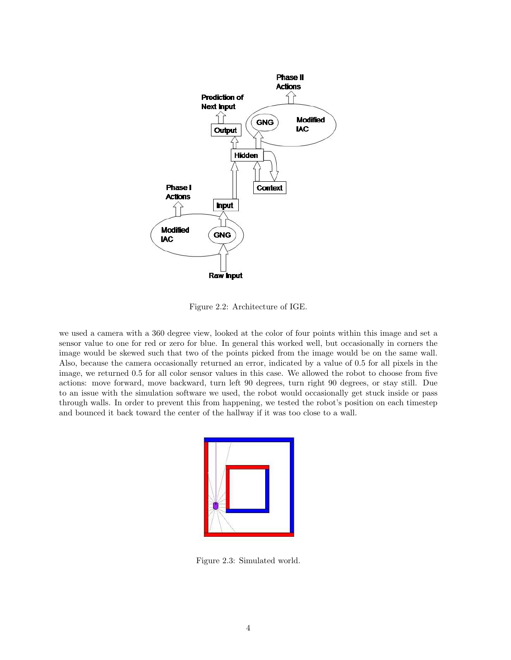

Figure 2.2: Architecture of IGE.

we used a camera with a 360 degree view, looked at the color of four points within this image and set a sensor value to one for red or zero for blue. In general this worked well, but occasionally in corners the image would be skewed such that two of the points picked from the image would be on the same wall. Also, because the camera occasionally returned an error, indicated by a value of 0.5 for all pixels in the image, we returned 0.5 for all color sensor values in this case. We allowed the robot to choose from five actions: move forward, move backward, turn left 90 degrees, turn right 90 degrees, or stay still. Due to an issue with the simulation software we used, the robot would occasionally get stuck inside or pass through walls. In order to prevent this from happening, we tested the robot's position on each timestep and bounced it back toward the center of the hallway if it was too close to a wall.

Figure 2.3: Simulated world.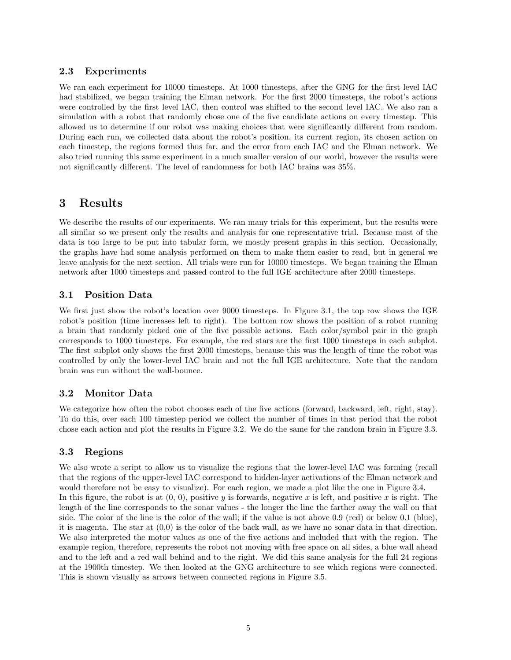### 2.3 Experiments

We ran each experiment for 10000 timesteps. At 1000 timesteps, after the GNG for the first level IAC had stabilized, we began training the Elman network. For the first 2000 timesteps, the robot's actions were controlled by the first level IAC, then control was shifted to the second level IAC. We also ran a simulation with a robot that randomly chose one of the five candidate actions on every timestep. This allowed us to determine if our robot was making choices that were significantly different from random. During each run, we collected data about the robot's position, its current region, its chosen action on each timestep, the regions formed thus far, and the error from each IAC and the Elman network. We also tried running this same experiment in a much smaller version of our world, however the results were not significantly different. The level of randomness for both IAC brains was 35%.

## 3 Results

We describe the results of our experiments. We ran many trials for this experiment, but the results were all similar so we present only the results and analysis for one representative trial. Because most of the data is too large to be put into tabular form, we mostly present graphs in this section. Occasionally, the graphs have had some analysis performed on them to make them easier to read, but in general we leave analysis for the next section. All trials were run for 10000 timesteps. We began training the Elman network after 1000 timesteps and passed control to the full IGE architecture after 2000 timesteps.

### 3.1 Position Data

We first just show the robot's location over 9000 timesteps. In Figure 3.1, the top row shows the IGE robot's position (time increases left to right). The bottom row shows the position of a robot running a brain that randomly picked one of the five possible actions. Each color/symbol pair in the graph corresponds to 1000 timesteps. For example, the red stars are the first 1000 timesteps in each subplot. The first subplot only shows the first 2000 timesteps, because this was the length of time the robot was controlled by only the lower-level IAC brain and not the full IGE architecture. Note that the random brain was run without the wall-bounce.

#### 3.2 Monitor Data

We categorize how often the robot chooses each of the five actions (forward, backward, left, right, stay). To do this, over each 100 timestep period we collect the number of times in that period that the robot chose each action and plot the results in Figure 3.2. We do the same for the random brain in Figure 3.3.

#### 3.3 Regions

We also wrote a script to allow us to visualize the regions that the lower-level IAC was forming (recall that the regions of the upper-level IAC correspond to hidden-layer activations of the Elman network and would therefore not be easy to visualize). For each region, we made a plot like the one in Figure 3.4. In this figure, the robot is at  $(0, 0)$ , positive y is forwards, negative x is left, and positive x is right. The length of the line corresponds to the sonar values - the longer the line the farther away the wall on that side. The color of the line is the color of the wall; if the value is not above 0.9 (red) or below 0.1 (blue), it is magenta. The star at  $(0,0)$  is the color of the back wall, as we have no sonar data in that direction. We also interpreted the motor values as one of the five actions and included that with the region. The example region, therefore, represents the robot not moving with free space on all sides, a blue wall ahead and to the left and a red wall behind and to the right. We did this same analysis for the full 24 regions at the 1900th timestep. We then looked at the GNG architecture to see which regions were connected. This is shown visually as arrows between connected regions in Figure 3.5.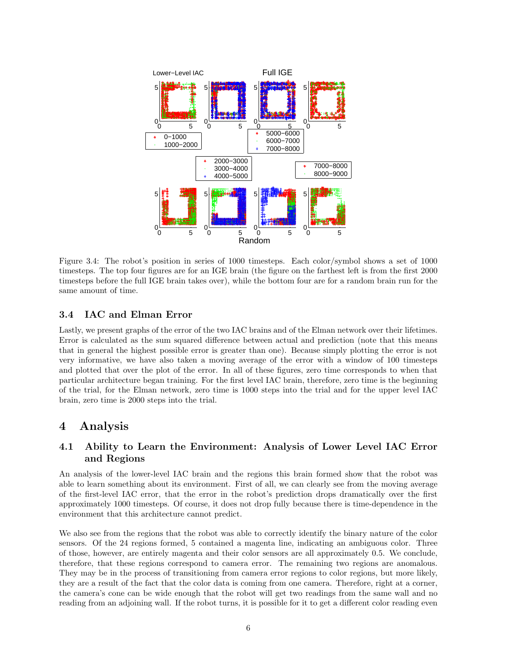

Figure 3.4: The robot's position in series of 1000 timesteps. Each color/symbol shows a set of 1000 timesteps. The top four figures are for an IGE brain (the figure on the farthest left is from the first 2000 timesteps before the full IGE brain takes over), while the bottom four are for a random brain run for the same amount of time.

#### 3.4 IAC and Elman Error

Lastly, we present graphs of the error of the two IAC brains and of the Elman network over their lifetimes. Error is calculated as the sum squared difference between actual and prediction (note that this means that in general the highest possible error is greater than one). Because simply plotting the error is not very informative, we have also taken a moving average of the error with a window of 100 timesteps and plotted that over the plot of the error. In all of these figures, zero time corresponds to when that particular architecture began training. For the first level IAC brain, therefore, zero time is the beginning of the trial, for the Elman network, zero time is 1000 steps into the trial and for the upper level IAC brain, zero time is 2000 steps into the trial.

## 4 Analysis

### 4.1 Ability to Learn the Environment: Analysis of Lower Level IAC Error and Regions

An analysis of the lower-level IAC brain and the regions this brain formed show that the robot was able to learn something about its environment. First of all, we can clearly see from the moving average of the first-level IAC error, that the error in the robot's prediction drops dramatically over the first approximately 1000 timesteps. Of course, it does not drop fully because there is time-dependence in the environment that this architecture cannot predict.

We also see from the regions that the robot was able to correctly identify the binary nature of the color sensors. Of the 24 regions formed, 5 contained a magenta line, indicating an ambiguous color. Three of those, however, are entirely magenta and their color sensors are all approximately 0.5. We conclude, therefore, that these regions correspond to camera error. The remaining two regions are anomalous. They may be in the process of transitioning from camera error regions to color regions, but more likely, they are a result of the fact that the color data is coming from one camera. Therefore, right at a corner, the camera's cone can be wide enough that the robot will get two readings from the same wall and no reading from an adjoining wall. If the robot turns, it is possible for it to get a different color reading even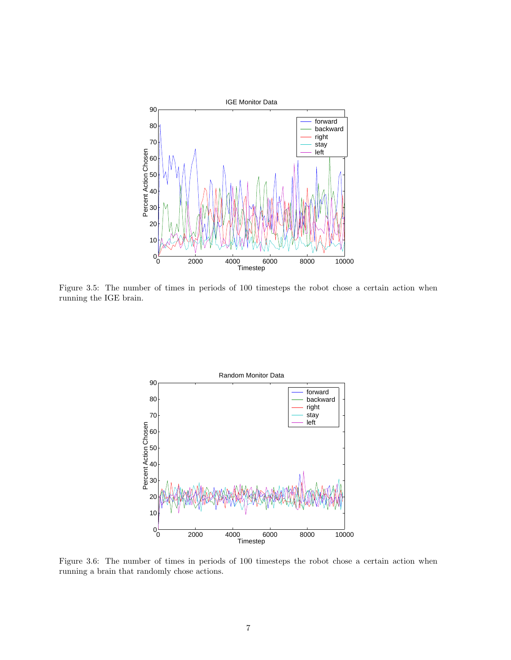

Figure 3.5: The number of times in periods of 100 timesteps the robot chose a certain action when running the IGE brain.



Figure 3.6: The number of times in periods of 100 timesteps the robot chose a certain action when running a brain that randomly chose actions.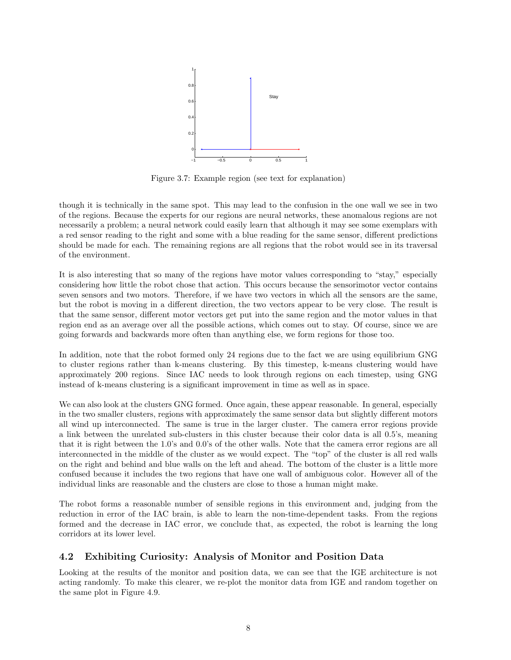

Figure 3.7: Example region (see text for explanation)

though it is technically in the same spot. This may lead to the confusion in the one wall we see in two of the regions. Because the experts for our regions are neural networks, these anomalous regions are not necessarily a problem; a neural network could easily learn that although it may see some exemplars with a red sensor reading to the right and some with a blue reading for the same sensor, different predictions should be made for each. The remaining regions are all regions that the robot would see in its traversal of the environment.

It is also interesting that so many of the regions have motor values corresponding to "stay," especially considering how little the robot chose that action. This occurs because the sensorimotor vector contains seven sensors and two motors. Therefore, if we have two vectors in which all the sensors are the same, but the robot is moving in a different direction, the two vectors appear to be very close. The result is that the same sensor, different motor vectors get put into the same region and the motor values in that region end as an average over all the possible actions, which comes out to stay. Of course, since we are going forwards and backwards more often than anything else, we form regions for those too.

In addition, note that the robot formed only 24 regions due to the fact we are using equilibrium GNG to cluster regions rather than k-means clustering. By this timestep, k-means clustering would have approximately 200 regions. Since IAC needs to look through regions on each timestep, using GNG instead of k-means clustering is a significant improvement in time as well as in space.

We can also look at the clusters GNG formed. Once again, these appear reasonable. In general, especially in the two smaller clusters, regions with approximately the same sensor data but slightly different motors all wind up interconnected. The same is true in the larger cluster. The camera error regions provide a link between the unrelated sub-clusters in this cluster because their color data is all 0.5's, meaning that it is right between the 1.0's and 0.0's of the other walls. Note that the camera error regions are all interconnected in the middle of the cluster as we would expect. The "top" of the cluster is all red walls on the right and behind and blue walls on the left and ahead. The bottom of the cluster is a little more confused because it includes the two regions that have one wall of ambiguous color. However all of the individual links are reasonable and the clusters are close to those a human might make.

The robot forms a reasonable number of sensible regions in this environment and, judging from the reduction in error of the IAC brain, is able to learn the non-time-dependent tasks. From the regions formed and the decrease in IAC error, we conclude that, as expected, the robot is learning the long corridors at its lower level.

#### 4.2 Exhibiting Curiosity: Analysis of Monitor and Position Data

Looking at the results of the monitor and position data, we can see that the IGE architecture is not acting randomly. To make this clearer, we re-plot the monitor data from IGE and random together on the same plot in Figure 4.9.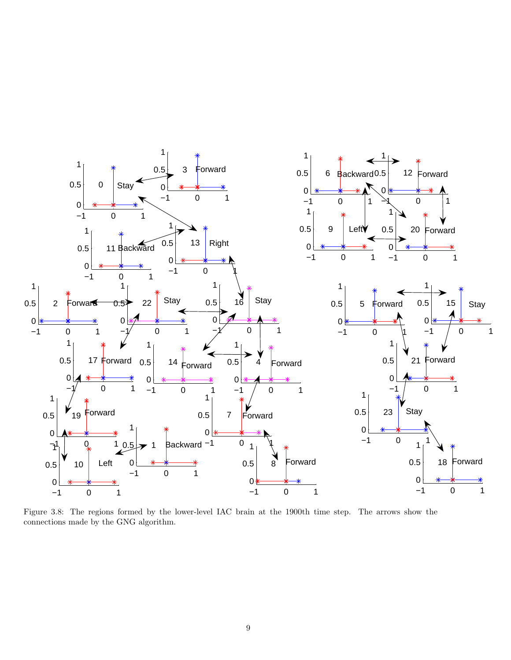

Figure 3.8: The regions formed by the lower-level IAC brain at the 1900th time step. The arrows show the connections made by the GNG algorithm.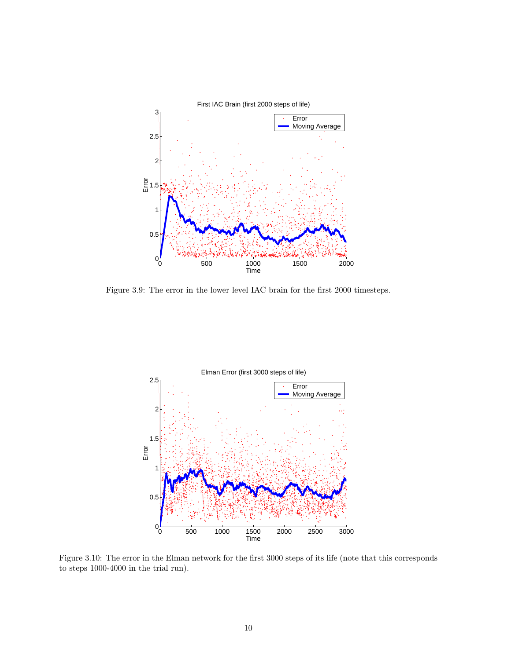

Figure 3.9: The error in the lower level IAC brain for the first 2000 timesteps.



Figure 3.10: The error in the Elman network for the first 3000 steps of its life (note that this corresponds to steps 1000-4000 in the trial run).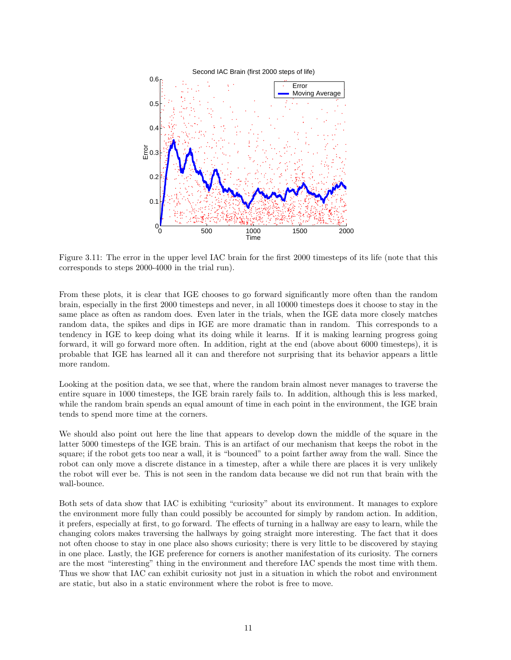

Figure 3.11: The error in the upper level IAC brain for the first 2000 timesteps of its life (note that this corresponds to steps 2000-4000 in the trial run).

From these plots, it is clear that IGE chooses to go forward significantly more often than the random brain, especially in the first 2000 timesteps and never, in all 10000 timesteps does it choose to stay in the same place as often as random does. Even later in the trials, when the IGE data more closely matches random data, the spikes and dips in IGE are more dramatic than in random. This corresponds to a tendency in IGE to keep doing what its doing while it learns. If it is making learning progress going forward, it will go forward more often. In addition, right at the end (above about 6000 timesteps), it is probable that IGE has learned all it can and therefore not surprising that its behavior appears a little more random.

Looking at the position data, we see that, where the random brain almost never manages to traverse the entire square in 1000 timesteps, the IGE brain rarely fails to. In addition, although this is less marked, while the random brain spends an equal amount of time in each point in the environment, the IGE brain tends to spend more time at the corners.

We should also point out here the line that appears to develop down the middle of the square in the latter 5000 timesteps of the IGE brain. This is an artifact of our mechanism that keeps the robot in the square; if the robot gets too near a wall, it is "bounced" to a point farther away from the wall. Since the robot can only move a discrete distance in a timestep, after a while there are places it is very unlikely the robot will ever be. This is not seen in the random data because we did not run that brain with the wall-bounce.

Both sets of data show that IAC is exhibiting "curiosity" about its environment. It manages to explore the environment more fully than could possibly be accounted for simply by random action. In addition, it prefers, especially at first, to go forward. The effects of turning in a hallway are easy to learn, while the changing colors makes traversing the hallways by going straight more interesting. The fact that it does not often choose to stay in one place also shows curiosity; there is very little to be discovered by staying in one place. Lastly, the IGE preference for corners is another manifestation of its curiosity. The corners are the most "interesting" thing in the environment and therefore IAC spends the most time with them. Thus we show that IAC can exhibit curiosity not just in a situation in which the robot and environment are static, but also in a static environment where the robot is free to move.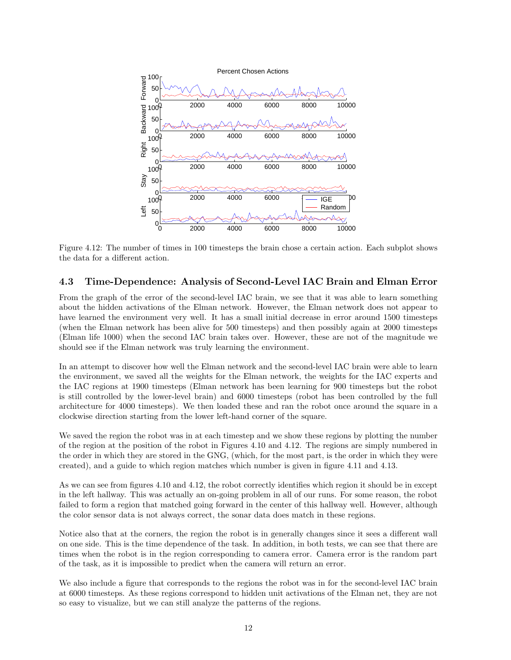

Figure 4.12: The number of times in 100 timesteps the brain chose a certain action. Each subplot shows the data for a different action.

#### 4.3 Time-Dependence: Analysis of Second-Level IAC Brain and Elman Error

From the graph of the error of the second-level IAC brain, we see that it was able to learn something about the hidden activations of the Elman network. However, the Elman network does not appear to have learned the environment very well. It has a small initial decrease in error around 1500 timesteps (when the Elman network has been alive for 500 timesteps) and then possibly again at 2000 timesteps (Elman life 1000) when the second IAC brain takes over. However, these are not of the magnitude we should see if the Elman network was truly learning the environment.

In an attempt to discover how well the Elman network and the second-level IAC brain were able to learn the environment, we saved all the weights for the Elman network, the weights for the IAC experts and the IAC regions at 1900 timesteps (Elman network has been learning for 900 timesteps but the robot is still controlled by the lower-level brain) and 6000 timesteps (robot has been controlled by the full architecture for 4000 timesteps). We then loaded these and ran the robot once around the square in a clockwise direction starting from the lower left-hand corner of the square.

We saved the region the robot was in at each timestep and we show these regions by plotting the number of the region at the position of the robot in Figures 4.10 and 4.12. The regions are simply numbered in the order in which they are stored in the GNG, (which, for the most part, is the order in which they were created), and a guide to which region matches which number is given in figure 4.11 and 4.13.

As we can see from figures 4.10 and 4.12, the robot correctly identifies which region it should be in except in the left hallway. This was actually an on-going problem in all of our runs. For some reason, the robot failed to form a region that matched going forward in the center of this hallway well. However, although the color sensor data is not always correct, the sonar data does match in these regions.

Notice also that at the corners, the region the robot is in generally changes since it sees a different wall on one side. This is the time dependence of the task. In addition, in both tests, we can see that there are times when the robot is in the region corresponding to camera error. Camera error is the random part of the task, as it is impossible to predict when the camera will return an error.

We also include a figure that corresponds to the regions the robot was in for the second-level IAC brain at 6000 timesteps. As these regions correspond to hidden unit activations of the Elman net, they are not so easy to visualize, but we can still analyze the patterns of the regions.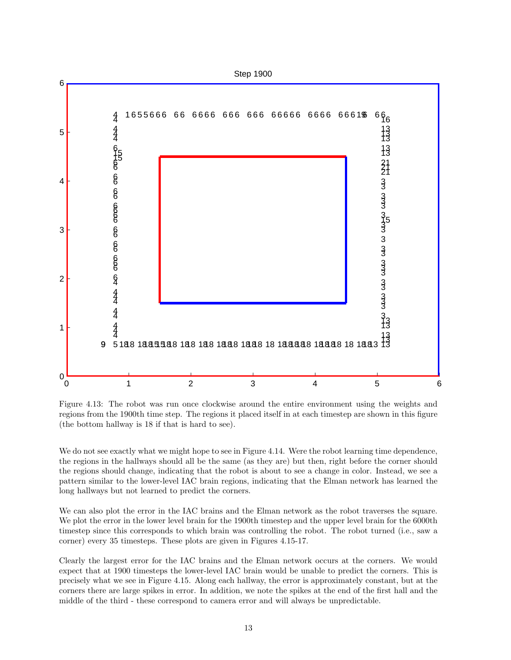

Figure 4.13: The robot was run once clockwise around the entire environment using the weights and regions from the 1900th time step. The regions it placed itself in at each timestep are shown in this figure (the bottom hallway is 18 if that is hard to see).

We do not see exactly what we might hope to see in Figure 4.14. Were the robot learning time dependence, the regions in the hallways should all be the same (as they are) but then, right before the corner should the regions should change, indicating that the robot is about to see a change in color. Instead, we see a pattern similar to the lower-level IAC brain regions, indicating that the Elman network has learned the long hallways but not learned to predict the corners.

We can also plot the error in the IAC brains and the Elman network as the robot traverses the square. We plot the error in the lower level brain for the 1900th timestep and the upper level brain for the 6000th timestep since this corresponds to which brain was controlling the robot. The robot turned (i.e., saw a corner) every 35 timesteps. These plots are given in Figures 4.15-17.

Clearly the largest error for the IAC brains and the Elman network occurs at the corners. We would expect that at 1900 timesteps the lower-level IAC brain would be unable to predict the corners. This is precisely what we see in Figure 4.15. Along each hallway, the error is approximately constant, but at the corners there are large spikes in error. In addition, we note the spikes at the end of the first hall and the middle of the third - these correspond to camera error and will always be unpredictable.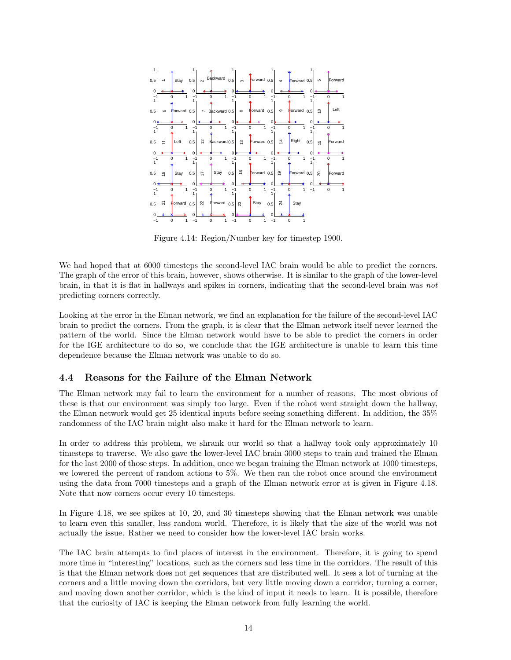

Figure 4.14: Region/Number key for timestep 1900.

We had hoped that at 6000 timesteps the second-level IAC brain would be able to predict the corners. The graph of the error of this brain, however, shows otherwise. It is similar to the graph of the lower-level brain, in that it is flat in hallways and spikes in corners, indicating that the second-level brain was not predicting corners correctly.

Looking at the error in the Elman network, we find an explanation for the failure of the second-level IAC brain to predict the corners. From the graph, it is clear that the Elman network itself never learned the pattern of the world. Since the Elman network would have to be able to predict the corners in order for the IGE architecture to do so, we conclude that the IGE architecture is unable to learn this time dependence because the Elman network was unable to do so.

#### 4.4 Reasons for the Failure of the Elman Network

The Elman network may fail to learn the environment for a number of reasons. The most obvious of these is that our environment was simply too large. Even if the robot went straight down the hallway, the Elman network would get 25 identical inputs before seeing something different. In addition, the 35% randomness of the IAC brain might also make it hard for the Elman network to learn.

In order to address this problem, we shrank our world so that a hallway took only approximately 10 timesteps to traverse. We also gave the lower-level IAC brain 3000 steps to train and trained the Elman for the last 2000 of those steps. In addition, once we began training the Elman network at 1000 timesteps, we lowered the percent of random actions to 5%. We then ran the robot once around the environment using the data from 7000 timesteps and a graph of the Elman network error at is given in Figure 4.18. Note that now corners occur every 10 timesteps.

In Figure 4.18, we see spikes at 10, 20, and 30 timesteps showing that the Elman network was unable to learn even this smaller, less random world. Therefore, it is likely that the size of the world was not actually the issue. Rather we need to consider how the lower-level IAC brain works.

The IAC brain attempts to find places of interest in the environment. Therefore, it is going to spend more time in "interesting" locations, such as the corners and less time in the corridors. The result of this is that the Elman network does not get sequences that are distributed well. It sees a lot of turning at the corners and a little moving down the corridors, but very little moving down a corridor, turning a corner, and moving down another corridor, which is the kind of input it needs to learn. It is possible, therefore that the curiosity of IAC is keeping the Elman network from fully learning the world.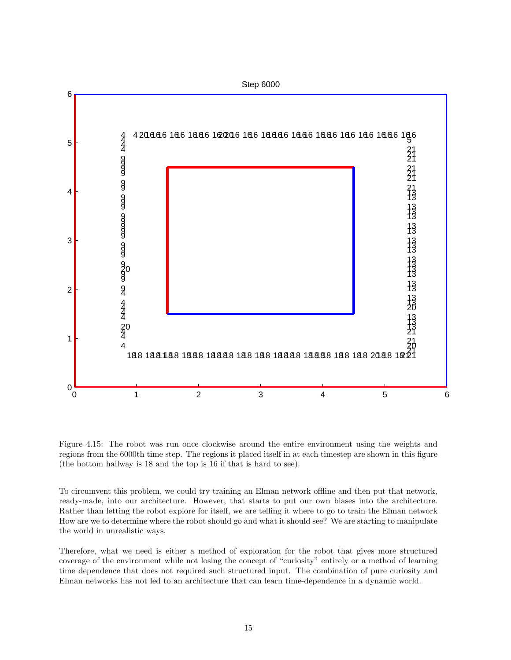

Figure 4.15: The robot was run once clockwise around the entire environment using the weights and regions from the 6000th time step. The regions it placed itself in at each timestep are shown in this figure (the bottom hallway is 18 and the top is 16 if that is hard to see).

To circumvent this problem, we could try training an Elman network offline and then put that network, ready-made, into our architecture. However, that starts to put our own biases into the architecture. Rather than letting the robot explore for itself, we are telling it where to go to train the Elman network How are we to determine where the robot should go and what it should see? We are starting to manipulate the world in unrealistic ways.

Therefore, what we need is either a method of exploration for the robot that gives more structured coverage of the environment while not losing the concept of "curiosity" entirely or a method of learning time dependence that does not required such structured input. The combination of pure curiosity and Elman networks has not led to an architecture that can learn time-dependence in a dynamic world.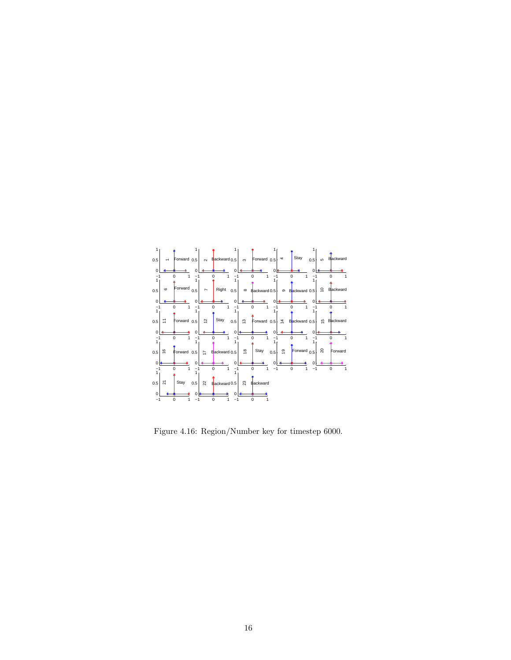

Figure 4.16: Region/Number key for timestep 6000.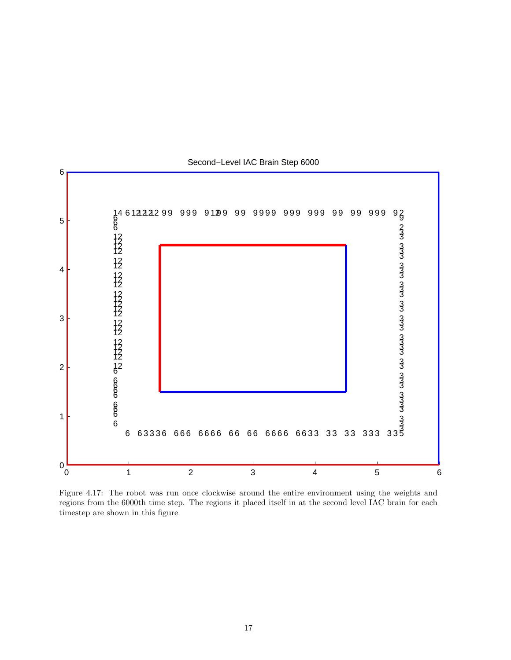

Second−Level IAC Brain Step 6000

Figure 4.17: The robot was run once clockwise around the entire environment using the weights and regions from the 6000th time step. The regions it placed itself in at the second level IAC brain for each timestep are shown in this figure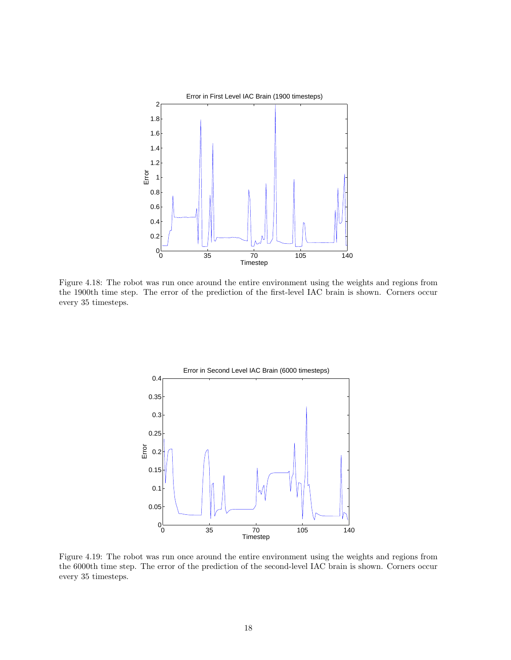

Figure 4.18: The robot was run once around the entire environment using the weights and regions from the 1900th time step. The error of the prediction of the first-level IAC brain is shown. Corners occur every 35 timesteps.



Figure 4.19: The robot was run once around the entire environment using the weights and regions from the 6000th time step. The error of the prediction of the second-level IAC brain is shown. Corners occur every 35 timesteps.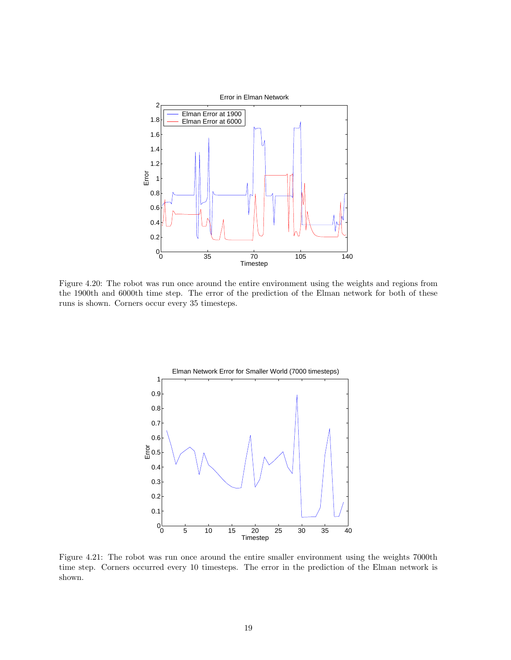

Figure 4.20: The robot was run once around the entire environment using the weights and regions from the 1900th and 6000th time step. The error of the prediction of the Elman network for both of these runs is shown. Corners occur every 35 timesteps.



Figure 4.21: The robot was run once around the entire smaller environment using the weights 7000th time step. Corners occurred every 10 timesteps. The error in the prediction of the Elman network is shown.